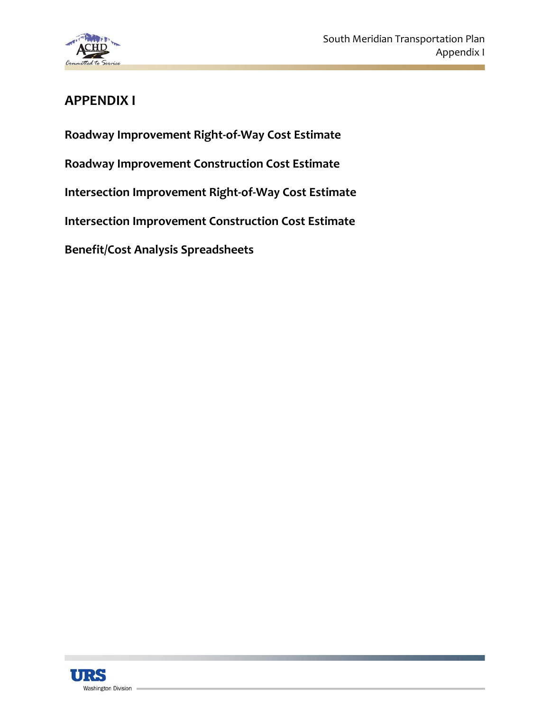

#### **APPENDIX I**

**Roadway Improvement Right‐of‐Way Cost Estimate**

**Roadway Improvement Construction Cost Estimate**

**Intersection Improvement Right‐of‐Way Cost Estimate** 

**Intersection Improvement Construction Cost Estimate**

**Benefit/Cost Analysis Spreadsheets**

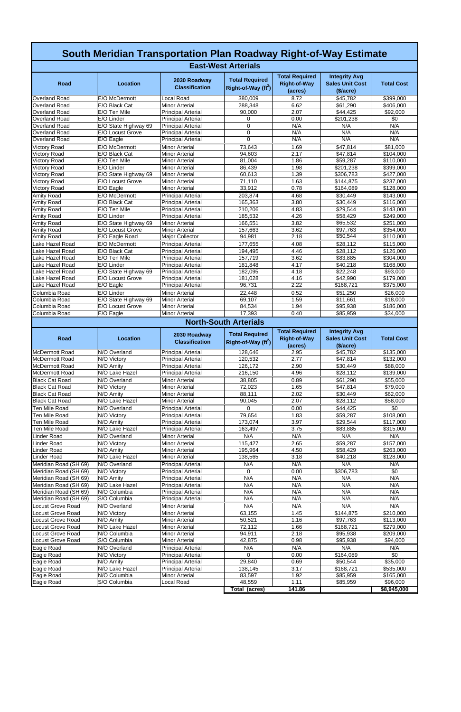| South Meridian Transportation Plan Roadway Right-of-Way Estimate |                                |                                                        |                                                          |                                                         |                                                                    |                        |  |
|------------------------------------------------------------------|--------------------------------|--------------------------------------------------------|----------------------------------------------------------|---------------------------------------------------------|--------------------------------------------------------------------|------------------------|--|
|                                                                  |                                |                                                        | <b>East-West Arterials</b>                               |                                                         |                                                                    |                        |  |
| Road                                                             | <b>Location</b>                | 2030 Roadway<br><b>Classification</b>                  | <b>Total Required</b><br>Right-of-Way (ft <sup>2</sup> ) | <b>Total Required</b><br><b>Right-of-Way</b><br>(acres) | <b>Integrity Avg</b><br><b>Sales Unit Cost</b><br>( <b>Since</b> ) | <b>Total Cost</b>      |  |
| <b>Overland Road</b>                                             | E/O McDermott                  | Local Road                                             | 380,009                                                  | 8.72                                                    | \$45,782                                                           | \$399,000              |  |
| Overland Road                                                    | E/O Black Cat                  | <b>Minor Arterial</b>                                  | 288,348                                                  | 6.62                                                    | \$61,290                                                           | \$406,000              |  |
| Overland Road                                                    | E/O Ten Mile                   | <b>Principal Arterial</b>                              | 90,000                                                   | 2.07                                                    | \$44,425                                                           | \$92,000               |  |
| Overland Road                                                    | E/O Linder                     | <b>Principal Arterial</b>                              | 0                                                        | 0.00                                                    | \$201,238                                                          | \$0                    |  |
| Overland Road                                                    | E/O State Highway 69           | <b>Principal Arterial</b>                              | 0                                                        | N/A                                                     | N/A                                                                | N/A                    |  |
| <b>Overland Road</b>                                             | E/O Locust Grove               | <b>Principal Arterial</b>                              | 0<br>$\Omega$                                            | N/A<br>N/A                                              | N/A<br>N/A                                                         | N/A<br>N/A             |  |
| Overland Road                                                    | E/O Eagle                      | <b>Principal Arterial</b>                              |                                                          |                                                         |                                                                    |                        |  |
| <b>Victory Road</b><br><b>Victory Road</b>                       | E/O McDermott<br>E/O Black Cat | <b>Minor Arterial</b><br><b>Minor Arterial</b>         | 73,643<br>94,603                                         | 1.69<br>2.17                                            | \$47,814<br>\$47,814                                               | \$81,000<br>\$104,000  |  |
| <b>Victory Road</b>                                              | E/O Ten Mile                   | <b>Minor Arterial</b>                                  | 81,004                                                   | 1.86                                                    | \$59,287                                                           | \$110,000              |  |
| <b>Victory Road</b>                                              | E/O Linder                     | <b>Minor Arterial</b>                                  | 86,439                                                   | 1.98                                                    | \$201,238                                                          | \$399,000              |  |
| <b>Victory Road</b>                                              | E/O State Highway 69           | <b>Minor Arterial</b>                                  | 60,613                                                   | 1.39                                                    | \$306,783                                                          | \$427,000              |  |
| <b>Victory Road</b>                                              | E/O Locust Grove               | <b>Minor Arterial</b>                                  | 71,110                                                   | 1.63                                                    | \$144,875                                                          | \$237,000              |  |
| <b>Victory Road</b>                                              | E/O Eagle                      | <b>Minor Arterial</b>                                  | 33,912                                                   | 0.78                                                    | \$164,089                                                          | \$128,000              |  |
| <b>Amity Road</b>                                                | E/O McDermott                  | <b>Principal Arterial</b>                              | 203,874                                                  | 4.68                                                    | \$30,449                                                           | \$143,000              |  |
| <b>Amity Road</b>                                                | E/O Black Cat                  | <b>Principal Arterial</b>                              | 165,363                                                  | 3.80                                                    | \$30,449                                                           | \$116,000              |  |
| <b>Amity Road</b>                                                | E/O Ten Mile                   | <b>Principal Arterial</b>                              | 210,206                                                  | 4.83                                                    | \$29,544                                                           | \$143,000              |  |
| <b>Amity Road</b>                                                | E/O Linder                     | <b>Principal Arterial</b>                              | 185,532                                                  | 4.26                                                    | \$58,429                                                           | \$249,000              |  |
| <b>Amity Road</b>                                                | E/O State Highway 69           | <b>Minor Arterial</b>                                  | 166,551                                                  | 3.82                                                    | \$65,532                                                           | \$251,000              |  |
| <b>Amity Road</b>                                                | E/O Locust Grove               | <b>Minor Arterial</b>                                  | 157,663                                                  | 3.62                                                    | \$97,763<br>\$50,544                                               | \$354,000              |  |
| <b>Amity Road</b>                                                | E/O Eagle Road                 | <b>Major Collector</b>                                 | 94,981                                                   | 2.18                                                    |                                                                    | \$110,000              |  |
| Lake Hazel Road                                                  | E/O McDermott                  | <b>Principal Arterial</b>                              | 177,655                                                  | 4.08                                                    | \$28,112                                                           | \$115,000              |  |
| Lake Hazel Road<br>Lake Hazel Road                               | E/O Black Cat<br>E/O Ten Mile  | <b>Principal Arterial</b><br><b>Principal Arterial</b> | 194,495<br>157,719                                       | 4.46<br>3.62                                            | \$28,112<br>\$83,885                                               | \$126,000<br>\$304,000 |  |
| Lake Hazel Road                                                  | E/O Linder                     | <b>Principal Arterial</b>                              | 181,848                                                  | 4.17                                                    | \$40,218                                                           | \$168,000              |  |
| Lake Hazel Road                                                  | E/O State Highway 69           | <b>Principal Arterial</b>                              | 182,095                                                  | 4.18                                                    | \$22,248                                                           | \$93,000               |  |
| Lake Hazel Road                                                  | E/O Locust Grove               | <b>Principal Arterial</b>                              | 181,028                                                  | 4.16                                                    | \$42,990                                                           | \$179,000              |  |
| Lake Hazel Road                                                  | E/O Eagle                      | <b>Principal Arterial</b>                              | 96,731                                                   | 2.22                                                    | \$168,721                                                          | \$375,000              |  |
| Columbia Road                                                    | E/O Linder                     | <b>Minor Arterial</b>                                  | 22,448                                                   | 0.52                                                    | \$51,250                                                           | \$26,000               |  |
| Columbia Road                                                    | E/O State Highway 69           | <b>Minor Arterial</b>                                  | 69,107                                                   | 1.59                                                    | \$11,661                                                           | \$18,000               |  |
| Columbia Road                                                    | <b>E/O Locust Grove</b>        | <b>Minor Arterial</b>                                  | 84,534                                                   | 1.94                                                    | \$95,938                                                           | \$186,000              |  |
| Columbia Road                                                    | E/O Eagle                      | <b>Minor Arterial</b>                                  | 17,393                                                   | 0.40                                                    | \$85,959                                                           | \$34,000               |  |
| <b>North-South Arterials</b>                                     |                                |                                                        |                                                          |                                                         |                                                                    |                        |  |
|                                                                  |                                |                                                        |                                                          |                                                         |                                                                    |                        |  |
|                                                                  |                                |                                                        |                                                          |                                                         |                                                                    |                        |  |
| <b>Road</b>                                                      | <b>Location</b>                | 2030 Roadway<br><b>Classification</b>                  | <b>Total Required</b><br>Right-of-Way (ft <sup>2</sup> ) | <b>Total Required</b><br><b>Right-of-Way</b>            | <b>Integrity Avg</b><br><b>Sales Unit Cost</b>                     | <b>Total Cost</b>      |  |
| <b>McDermott Road</b>                                            | N/O Overland                   | <b>Principal Arterial</b>                              | 128,646                                                  | (acres)<br>2.95                                         | ( <b>Since</b> )<br>\$45,782                                       | \$135,000              |  |
| <b>McDermott Road</b>                                            | N/O Victory                    | <b>Principal Arterial</b>                              | 120,532                                                  | 2.77                                                    | \$47,814                                                           | \$132,000              |  |
| McDermott Road                                                   | N/O Amity                      | <b>Principal Arterial</b>                              | 126,172                                                  | 2.90                                                    | \$30,449                                                           | \$88,000               |  |
| McDermott Road                                                   | N/O Lake Hazel                 | <b>Principal Arterial</b>                              | 216,150                                                  | 4.96                                                    | \$28,112                                                           | \$139,000              |  |
| <b>Black Cat Road</b>                                            | N/O Overland                   | <b>Minor Arterial</b>                                  | 38,805                                                   | 0.89                                                    | \$61,290                                                           | \$55,000               |  |
| <b>Black Cat Road</b>                                            | N/O Victory                    | <b>Minor Arterial</b>                                  | 72,023                                                   | 1.65                                                    | \$47,814                                                           | \$79,000               |  |
| <b>Black Cat Road</b>                                            | N/O Amity                      | <b>Minor Arterial</b>                                  | 88,111                                                   | 2.02                                                    | \$30,449                                                           | \$62,000               |  |
| <b>Black Cat Road</b>                                            | N/O Lake Hazel                 | <b>Minor Arterial</b>                                  | 90,045                                                   | 2.07                                                    | \$28,112                                                           | \$58,000               |  |
| Ten Mile Road                                                    | N/O Overland                   | <b>Principal Arterial</b>                              | 0                                                        | 0.00                                                    | \$44,425                                                           | \$0                    |  |
| Ten Mile Road                                                    | N/O Victory                    | <b>Principal Arterial</b>                              | 79,654                                                   | 1.83                                                    | \$59,287                                                           | \$108,000              |  |
| Ten Mile Road                                                    | N/O Amity                      | <b>Principal Arterial</b>                              | 173,074                                                  | 3.97                                                    | \$29,544                                                           | \$117,000              |  |
| Ten Mile Road                                                    | N/O Lake Hazel                 | <b>Principal Arterial</b>                              | 163,497                                                  | 3.75                                                    | \$83,885                                                           | \$315,000              |  |
| Linder Road                                                      | N/O Overland                   | <b>Minor Arterial</b>                                  | N/A                                                      | N/A                                                     | N/A                                                                | N/A                    |  |
| <b>Linder Road</b><br>Linder Road                                | N/O Victory                    | <b>Minor Arterial</b>                                  | 115,427                                                  | 2.65                                                    | \$59,287                                                           | \$157,000              |  |
| Linder Road                                                      | N/O Amity<br>N/O Lake Hazel    | <b>Minor Arterial</b><br><b>Minor Arterial</b>         | 195,964<br>138,565                                       | 4.50<br>3.18                                            | \$58,429                                                           | \$263,000<br>\$128,000 |  |
| Meridian Road (SH 69)                                            | N/O Overland                   | <b>Principal Arterial</b>                              | N/A                                                      | N/A                                                     | \$40,218<br>N/A                                                    | N/A                    |  |
| Meridian Road (SH 69)                                            | N/O Victory                    | <b>Principal Arterial</b>                              | 0                                                        | 0.00                                                    | \$306,783                                                          | \$0                    |  |
| Meridian Road (SH 69)                                            | N/O Amity                      | <b>Principal Arterial</b>                              | N/A                                                      | N/A                                                     | N/A                                                                | N/A                    |  |
| Meridian Road (SH 69)                                            | N/O Lake Hazel                 | <b>Principal Arterial</b>                              | N/A                                                      | N/A                                                     | N/A                                                                | N/A                    |  |
| Meridian Road (SH 69)                                            | N/O Columbia                   | <b>Principal Arterial</b>                              | N/A                                                      | N/A                                                     | N/A                                                                | N/A                    |  |
| Meridian Road (SH 69)                                            | S/O Columbia                   | <b>Principal Arterial</b>                              | N/A                                                      | N/A                                                     | N/A                                                                | N/A                    |  |
| Locust Grove Road                                                | N/O Overland                   | <b>Minor Arterial</b>                                  | N/A                                                      | N/A                                                     | N/A                                                                | N/A                    |  |
| Locust Grove Road                                                | N/O Victory                    | <b>Minor Arterial</b>                                  | 63,155                                                   | 1.45                                                    | \$144,875                                                          | \$210,000              |  |
| Locust Grove Road                                                | N/O Amity                      | <b>Minor Arterial</b>                                  | 50,521                                                   | 1.16                                                    | \$97,763                                                           | \$113,000              |  |
| Locust Grove Road                                                | N/O Lake Hazel                 | <b>Minor Arterial</b>                                  | 72,112                                                   | 1.66                                                    | \$168,721                                                          | \$279,000              |  |
| Locust Grove Road                                                | N/O Columbia                   | <b>Minor Arterial</b>                                  | 94,911                                                   | 2.18                                                    | \$95,938                                                           | \$209,000              |  |
| Locust Grove Road                                                | S/O Columbia                   | <b>Minor Arterial</b>                                  | 42,875                                                   | 0.98                                                    | \$95,938                                                           | $\sqrt{$94,000}$       |  |
| Eagle Road                                                       | N/O Overland                   | <b>Principal Arterial</b>                              | N/A                                                      | N/A                                                     | N/A                                                                | N/A                    |  |
| Eagle Road                                                       | N/O Victory                    | <b>Principal Arterial</b>                              | $\Omega$                                                 | 0.00                                                    | \$164,089                                                          | \$0                    |  |
| Eagle Road<br>Eagle Road                                         | N/O Amity<br>N/O Lake Hazel    | <b>Principal Arterial</b><br><b>Principal Arterial</b> | 29,840<br>138,145                                        | 0.69<br>3.17                                            | \$50,544<br>\$168,721                                              | \$35,000<br>\$535,000  |  |
| Eagle Road                                                       | N/O Columbia                   | <b>Minor Arterial</b>                                  | 83,597                                                   | 1.92                                                    | \$85,959                                                           | \$165,000              |  |
| Eagle Road                                                       | S/O Columbia                   | Local Road                                             | 48,559                                                   | 1.11                                                    | \$85,959                                                           | \$96,000               |  |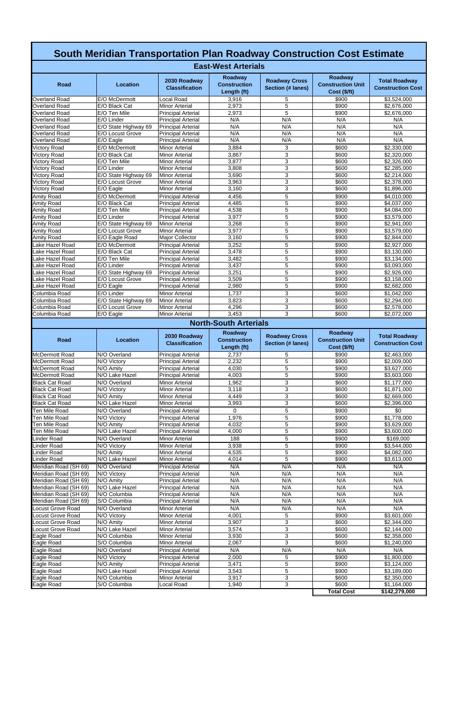|                                                | <b>South Meridian Transportation Plan Roadway Construction Cost Estimate</b> |                                                        |                                               |                                                  |                                                            |                                                  |  |
|------------------------------------------------|------------------------------------------------------------------------------|--------------------------------------------------------|-----------------------------------------------|--------------------------------------------------|------------------------------------------------------------|--------------------------------------------------|--|
|                                                | <b>East-West Arterials</b>                                                   |                                                        |                                               |                                                  |                                                            |                                                  |  |
| Road                                           | <b>Location</b>                                                              | 2030 Roadway<br><b>Classification</b>                  | Roadway<br><b>Construction</b><br>Length (ft) | <b>Roadway Cross</b><br><b>Section (# lanes)</b> | <b>Roadway</b><br><b>Construction Unit</b><br>Cost (\$/ft) | <b>Total Roadway</b><br><b>Construction Cost</b> |  |
| Overland Road                                  | E/O McDermott                                                                | Local Road                                             | 3,916                                         | 5                                                | \$900                                                      | \$3,524,000                                      |  |
| Overland Road                                  | E/O Black Cat                                                                | <b>Minor Arterial</b>                                  | 2,973                                         | 5                                                | \$900                                                      | \$2,676,000                                      |  |
| Overland Road<br>Overland Road                 | E/O Ten Mile<br>E/O Linder                                                   | <b>Principal Arterial</b><br><b>Principal Arterial</b> | 2,973<br>N/A                                  | 5<br>N/A                                         | \$900<br>N/A                                               | \$2,676,000<br>N/A                               |  |
| Overland Road                                  | E/O State Highway 69                                                         | <b>Principal Arterial</b>                              | N/A                                           | N/A                                              | N/A                                                        | N/A                                              |  |
| Overland Road                                  | E/O Locust Grove                                                             | <b>Principal Arterial</b>                              | N/A                                           | N/A                                              | N/A                                                        | N/A                                              |  |
| Overland Road                                  | E/O Eagle                                                                    | <b>Principal Arterial</b>                              | N/A                                           | N/A                                              | N/A                                                        | N/A                                              |  |
| <b>Victory Road</b>                            | E/O McDermott                                                                | <b>Minor Arterial</b>                                  | 3,884                                         | 3                                                | \$600                                                      | \$2,330,000                                      |  |
| <b>Victory Road</b><br><b>Victory Road</b>     | E/O Black Cat<br>E/O Ten Mile                                                | <b>Minor Arterial</b><br><b>Minor Arterial</b>         | 3,867<br>3,877                                | 3<br>3                                           | \$600<br>\$600                                             | \$2,320,000<br>\$2,326,000                       |  |
| <b>Victory Road</b>                            | E/O Linder                                                                   | <b>Minor Arterial</b>                                  | 3,808                                         | 3                                                | \$600                                                      | \$2,285,000                                      |  |
| <b>Victory Road</b>                            | E/O State Highway 69                                                         | <b>Minor Arterial</b>                                  | 3,690                                         | 3                                                | \$600                                                      | \$2,214,000                                      |  |
| <b>Victory Road</b>                            | E/O Locust Grove                                                             | <b>Minor Arterial</b>                                  | 3,963                                         | 3                                                | \$600                                                      | \$2,378,000                                      |  |
| Victory Road                                   | E/O Eagle                                                                    | <b>Minor Arterial</b>                                  | 3,160                                         | 3                                                | \$600                                                      | \$1,896,000                                      |  |
| Amity Road                                     | E/O McDermott                                                                | <b>Principal Arterial</b>                              | 4,456                                         | 5                                                | \$900                                                      | \$4,010,000                                      |  |
| Amity Road<br>Amity Road                       | E/O Black Cat<br>E/O Ten Mile                                                | <b>Principal Arterial</b><br><b>Principal Arterial</b> | 4,485<br>4,538                                | $\,$ 5 $\,$<br>5                                 | \$900<br>\$900                                             | \$4,037,000<br>\$4,084,000                       |  |
| Amity Road                                     | E/O Linder                                                                   | <b>Principal Arterial</b>                              | 3,977                                         | 5                                                | \$900                                                      | \$3,579,000                                      |  |
| Amity Road                                     | E/O State Highway 69                                                         | <b>Minor Arterial</b>                                  | 3,268                                         | 5                                                | \$900                                                      | \$2,941,000                                      |  |
| Amity Road                                     | E/O Locust Grove                                                             | <b>Minor Arterial</b>                                  | 3,977                                         | 5                                                | \$900                                                      | \$3,579,000                                      |  |
| Amity Road                                     | E/O Eagle Road                                                               | <b>Major Collector</b>                                 | 3,160                                         | 5                                                | \$900                                                      | \$2,844,000                                      |  |
| Lake Hazel Road                                | E/O McDermott                                                                | <b>Principal Arterial</b>                              | 3,252                                         | 5                                                | \$900                                                      | \$2,927,000                                      |  |
| Lake Hazel Road<br>Lake Hazel Road             | E/O Black Cat<br>E/O Ten Mile                                                | <b>Principal Arterial</b><br><b>Principal Arterial</b> | 3,478<br>3,482                                | 5<br>5                                           | \$900<br>\$900                                             | \$3,130,000<br>$\overline{$3,134,000}$           |  |
| Lake Hazel Road                                | E/O Linder                                                                   | <b>Principal Arterial</b>                              | 3,437                                         | 5                                                | \$900                                                      | $\overline{$3,093,000}$                          |  |
| Lake Hazel Road                                | E/O State Highway 69                                                         | <b>Principal Arterial</b>                              | 3,251                                         | 5                                                | \$900                                                      | \$2,926,000                                      |  |
| Lake Hazel Road                                | E/O Locust Grove                                                             | <b>Principal Arterial</b>                              | 3,509                                         | 5                                                | \$900                                                      | \$3,158,000                                      |  |
| Lake Hazel Road                                | E/O Eagle                                                                    | <b>Principal Arterial</b>                              | 2,980                                         | $\overline{5}$                                   | \$900                                                      | $\sqrt{$2,68}$ <sub>2</sub> ,000                 |  |
| Columbia Road                                  | E/O Linder                                                                   | <b>Minor Arterial</b>                                  | 1,737                                         | 3                                                | \$600                                                      | \$1,042,000                                      |  |
| Columbia Road<br>Columbia Road                 | E/O State Highway 69<br>E/O Locust Grove                                     | <b>Minor Arterial</b><br><b>Minor Arterial</b>         | 3.823<br>4.296                                | 3<br>3                                           | \$600<br>\$600                                             | \$2,294,000<br>\$2,578,000                       |  |
| Columbia Road                                  | E/O Eagle                                                                    | Minor Arterial                                         | 3,453                                         | 3                                                | \$600                                                      | \$2,072,000                                      |  |
|                                                |                                                                              |                                                        |                                               |                                                  |                                                            |                                                  |  |
| <b>North-South Arterials</b>                   |                                                                              |                                                        |                                               |                                                  |                                                            |                                                  |  |
|                                                |                                                                              |                                                        |                                               |                                                  |                                                            |                                                  |  |
| <b>Road</b>                                    | <b>Location</b>                                                              | 2030 Roadway<br><b>Classification</b>                  | <b>Roadway</b><br><b>Construction</b>         | <b>Roadway Cross</b><br>Section (# lanes)        | <b>Roadway</b><br><b>Construction Unit</b>                 | <b>Total Roadway</b><br><b>Construction Cost</b> |  |
| <b>McDermott Road</b>                          | N/O Overland                                                                 | <b>Principal Arterial</b>                              | Length (ft)<br>2,737                          | 5                                                | Cost (\$/ft)<br>\$900                                      |                                                  |  |
| McDermott Road                                 | $\overline{N}/O$ Victory                                                     | <b>Principal Arterial</b>                              | 2,232                                         | 5                                                | \$900                                                      | $\overline{$}2,463,000$<br>\$2,009,000           |  |
| McDermott Road                                 | N/O Amity                                                                    | <b>Principal Arterial</b>                              | 4,030                                         | 5                                                | \$900                                                      | \$3,627,000                                      |  |
| McDermott Road                                 | N/O Lake Hazel                                                               | <b>Principal Arterial</b>                              | 4,003                                         | 5                                                | \$900                                                      | \$3,603,000                                      |  |
| <b>Black Cat Road</b>                          | N/O Overland                                                                 | <b>Minor Arterial</b>                                  | 1,962                                         | 3                                                | \$600                                                      | \$1,177,000                                      |  |
| <b>Black Cat Road</b>                          | N/O Victory                                                                  | <b>Minor Arterial</b>                                  | 3,118                                         | 3                                                | \$600                                                      | \$1,871,000                                      |  |
| <b>Black Cat Road</b><br><b>Black Cat Road</b> | N/O Amity<br>N/O Lake Hazel                                                  | <b>Minor Arterial</b><br><b>Minor Arterial</b>         | 4,449<br>3,993                                | 3<br>3                                           | \$600<br>\$600                                             | \$2,669,000<br>\$2,396,000                       |  |
| Ten Mile Road                                  | N/O Overland                                                                 | <b>Principal Arterial</b>                              | 0                                             | 5                                                | \$900                                                      | \$0                                              |  |
| Ten Mile Road                                  | N/O Victory                                                                  | <b>Principal Arterial</b>                              | 1,976                                         | $\overline{5}$                                   | \$900                                                      | \$1,778,000                                      |  |
| <b>Ten Mile Road</b>                           | N/O Amity                                                                    | <b>Principal Arterial</b>                              | 4,032                                         | 5                                                | \$900                                                      | \$3,629,000                                      |  |
| Ten Mile Road                                  | N/O Lake Hazel                                                               | <b>Principal Arterial</b>                              | 4,000                                         | 5                                                | \$900                                                      | \$3,600,000                                      |  |
| Linder Road                                    | N/O Overland                                                                 | <b>Minor Arterial</b>                                  | 188                                           | 5                                                | \$900                                                      | \$169,000                                        |  |
| Linder Road<br>Linder Road                     | N/O Victory<br>N/O Amity                                                     | <b>Minor Arterial</b><br><b>Minor Arterial</b>         | 3,938<br>4,535                                | 5<br>$\overline{5}$                              | \$900<br>\$900                                             | \$3,544,000<br>\$4,082,000                       |  |
| Linder Road                                    | N/O Lake Hazel                                                               | <b>Minor Arterial</b>                                  | 4,014                                         | $\overline{5}$                                   | \$900                                                      | \$3,613,000                                      |  |
| Meridian Road (SH 69)                          | N/O Overland                                                                 | <b>Principal Arterial</b>                              | N/A                                           | N/A                                              | N/A                                                        | N/A                                              |  |
| Meridian Road (SH 69)                          | N/O Victory                                                                  | <b>Principal Arterial</b>                              | N/A                                           | N/A                                              | N/A                                                        | N/A                                              |  |
| Meridian Road (SH 69)                          | N/O Amity                                                                    | <b>Principal Arterial</b>                              | N/A                                           | N/A                                              | N/A                                                        | N/A                                              |  |
| Meridian Road (SH 69)                          | N/O Lake Hazel<br>N/O Columbia                                               | <b>Principal Arterial</b>                              | N/A                                           | N/A                                              | N/A                                                        | N/A                                              |  |
| Meridian Road (SH 69)<br>Meridian Road (SH 69) | S/O Columbia                                                                 | <b>Principal Arterial</b><br><b>Principal Arterial</b> | N/A<br>N/A                                    | N/A<br>N/A                                       | N/A<br>N/A                                                 | N/A<br>N/A                                       |  |
| Locust Grove Road                              | N/O Overland                                                                 | <b>Minor Arterial</b>                                  | N/A                                           | N/A                                              | N/A                                                        | N/A                                              |  |
| Locust Grove Road                              | N/O Victory                                                                  | <b>Minor Arterial</b>                                  | 4,001                                         | 5                                                | \$900                                                      | \$3,601,000                                      |  |
| Locust Grove Road                              | N/O Amity                                                                    | <b>Minor Arterial</b>                                  | 3,907                                         | 3                                                | \$600                                                      | \$2,344,000                                      |  |
| Locust Grove Road                              | N/O Lake Hazel                                                               | <b>Minor Arterial</b>                                  | 3,574                                         | 3                                                | \$600                                                      | \$2,144,000                                      |  |
| Eagle Road<br>Eagle Road                       | N/O Columbia<br>S/O Columbia                                                 | <b>Minor Arterial</b><br><b>Minor Arterial</b>         | 3,930<br>2,067                                | 3<br>3                                           | \$600<br>\$600                                             | \$2,358,000<br>\$1,240,000                       |  |
| Eagle Road                                     | N/O Overland                                                                 | <b>Principal Arterial</b>                              | N/A                                           | N/A                                              | N/A                                                        | N/A                                              |  |
| Eagle Road                                     | N/O Victory                                                                  | <b>Principal Arterial</b>                              | 2,000                                         | 5                                                | \$900                                                      | \$1,800,000                                      |  |
|                                                | N/O Amity                                                                    | <b>Principal Arterial</b>                              | 3,471                                         | $\overline{5}$                                   | \$900                                                      | \$3,124,000                                      |  |
| Eagle Road                                     | N/O Lake Hazel                                                               | <b>Principal Arterial</b>                              | 3,543                                         | 5                                                | \$900                                                      | \$3,189,000                                      |  |
| Eagle Road<br>Eagle Road<br>Eagle Road         | N/O Columbia<br>S/O Columbia                                                 | <b>Minor Arterial</b><br>Local Road                    | 3,917<br>1,940                                | 3<br>3                                           | \$600<br>\$600                                             | \$2,350,000<br>\$1,164,000                       |  |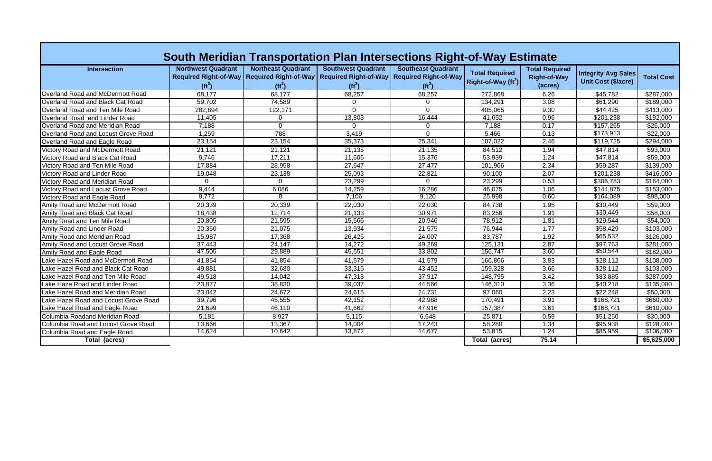| South Meridian Transportation Plan Intersections Right-of-Way Estimate |                                       |                                                                                        |                                                                       |                                                                       |                                                  |                                                         |                                                          |                   |
|------------------------------------------------------------------------|---------------------------------------|----------------------------------------------------------------------------------------|-----------------------------------------------------------------------|-----------------------------------------------------------------------|--------------------------------------------------|---------------------------------------------------------|----------------------------------------------------------|-------------------|
| <b>Intersection</b>                                                    | <b>Northwest Quadrant</b><br>$(ft^2)$ | <b>Northeast Quadrant</b><br>Required Right-of-Way   Required Right-of-Way<br>$(ft^2)$ | <b>Southwest Quadrant</b><br><b>Required Right-of-Way</b><br>$(ft^2)$ | <b>Southeast Quadrant</b><br><b>Required Right-of-Way</b><br>$(ft^2)$ | <b>Total Required</b><br>Right-of-Way ( $ft^2$ ) | <b>Total Required</b><br><b>Right-of-Way</b><br>(acres) | <b>Integrity Avg Sales</b><br><b>Unit Cost (\$/acre)</b> | <b>Total Cost</b> |
| Overland Road and McDermott Road                                       | 68,177                                | 68,177                                                                                 | 68,257                                                                | 68,257                                                                | 272,868                                          | 6.26                                                    | \$45,782                                                 | \$287,000         |
| Overland Road and Black Cat Road                                       | 59,702                                | 74,589                                                                                 | $\overline{0}$                                                        | $\mathbf 0$                                                           | 134,291                                          | 3.08                                                    | \$61,290                                                 | \$189,000         |
| Overland Road and Ten Mile Road                                        | 282,894                               | 122,171                                                                                | $\Omega$                                                              | $\Omega$                                                              | 405,065                                          | 9.30                                                    | \$44,425                                                 | \$413,000         |
| Overland Road and Linder Road                                          | 11,405                                | $\mathbf{0}$                                                                           | 13,803                                                                | 16,444                                                                | 41,652                                           | 0.96                                                    | \$201,238                                                | \$192,000         |
| Overland Road and Meridian Road                                        | 7,188                                 | $\Omega$                                                                               | $\Omega$                                                              | $\Omega$                                                              | 7,188                                            | 0.17                                                    | \$157,265                                                | \$26,000          |
| Overland Road and Locust Grove Road                                    | 1,259                                 | 788                                                                                    | 3,419                                                                 | $\Omega$                                                              | 5,466                                            | 0.13                                                    | \$173,913                                                | \$22,000          |
| Overland Road and Eagle Road                                           | 23,154                                | 23,154                                                                                 | 35,373                                                                | 25,341                                                                | 107,022                                          | 2.46                                                    | \$119,725                                                | \$294,000         |
| <b>Victory Road and McDermott Road</b>                                 | 21,121                                | 21,121                                                                                 | 21,135                                                                | 21,135                                                                | 84,512                                           | 1.94                                                    | \$47,814                                                 | \$93,000          |
| <b>Victory Road and Black Cat Road</b>                                 | 9,746                                 | 17,211                                                                                 | 11,606                                                                | 15,376                                                                | 53,939                                           | 1.24                                                    | \$47,814                                                 | \$59,000          |
| <b>Victory Road and Ten Mile Road</b>                                  | 17,884                                | 28,958                                                                                 | 27,647                                                                | 27,477                                                                | 101,966                                          | 2.34                                                    | \$59,287                                                 | \$139,000         |
| <b>Victory Road and Linder Road</b>                                    | 19,048                                | 23,138                                                                                 | 25,093                                                                | 22,821                                                                | 90,100                                           | 2.07                                                    | \$201,238                                                | \$416,000         |
| Victory Road and Meridian Road                                         | $\Omega$                              | ∩                                                                                      | 23,299                                                                | $\Omega$                                                              | 23,299                                           | 0.53                                                    | \$306,783                                                | \$164,000         |
| Victory Road and Locust Grove Road                                     | 9,444                                 | 6,086                                                                                  | 14,259                                                                | 16,286                                                                | 46,075                                           | 1.06                                                    | \$144,875                                                | \$153,000         |
| <b>Victory Road and Eagle Road</b>                                     | 9,772                                 | $\Omega$                                                                               | 7,106                                                                 | 9,120                                                                 | 25,998                                           | 0.60                                                    | \$164,089                                                | \$98,000          |
| <b>Amity Road and McDermott Road</b>                                   | 20,339                                | 20,339                                                                                 | 22,030                                                                | 22,030                                                                | 84,738                                           | 1.95                                                    | \$30,449                                                 | \$59,000          |
| Amity Road and Black Cat Road                                          | 18,438                                | 12,714                                                                                 | 21,133                                                                | 30,971                                                                | 83,256                                           | 1.91                                                    | \$30,449                                                 | \$58,000          |
| Amity Road and Ten Mile Road                                           | 20,805                                | 21,595                                                                                 | 15,566                                                                | 20,946                                                                | 78,912                                           | 1.81                                                    | \$29,544                                                 | \$54,000          |
| Amity Road and Linder Road                                             | 20,360                                | 21,075                                                                                 | 13,934                                                                | 21,575                                                                | 76,944                                           | 1.77                                                    | \$58,429                                                 | \$103,000         |
| Amity Road and Meridian Road                                           | 15,987                                | 17,368                                                                                 | 26,425                                                                | 24,007                                                                | 83,787                                           | 1.92                                                    | \$65,532                                                 | \$126,000         |
| Amity Road and Locust Grove Road                                       | 37,443                                | 24,147                                                                                 | 14,272                                                                | 49,269                                                                | 125,131                                          | 2.87                                                    | \$97,763                                                 | \$281,000         |
| Amity Road and Eagle Road                                              | 47,505                                | 29,889                                                                                 | 45,551                                                                | 33,802                                                                | 156,747                                          | 3.60                                                    | \$50,544                                                 | \$182,000         |
| Lake Hazel Road and McDermott Road                                     | 41,854                                | 41,854                                                                                 | 41,579                                                                | 41,579                                                                | 166,866                                          | 3.83                                                    | \$28,112                                                 | \$108,000         |
| Lake Hazel Road and Black Cat Road                                     | 49,881                                | 32,680                                                                                 | 33,315                                                                | 43,452                                                                | 159,328                                          | 3.66                                                    | \$28,112                                                 | \$103,000         |
| Lake Hazel Road and Ten Mile Road                                      | 49,518                                | 14,042                                                                                 | 47,318                                                                | 37,917                                                                | 148,795                                          | 3.42                                                    | \$83,885                                                 | \$287,000         |
| Lake Haze Road and Linder Road                                         | 23,877                                | 38,830                                                                                 | 39,037                                                                | 44,566                                                                | 146,310                                          | 3.36                                                    | \$40,218                                                 | \$135,000         |
| Lake Hazel Road and Meridian Road                                      | 23,042                                | 24,672                                                                                 | 24,615                                                                | 24,731                                                                | 97,060                                           | 2.23                                                    | \$22,248                                                 | \$50,000          |
| Lake Hazel Road and Locust Grove Road                                  | 39,796                                | 45,555                                                                                 | 42,152                                                                | 42,988                                                                | 170,491                                          | 3.91                                                    | \$168,721                                                | \$660,000         |
| ake Hazel Road and Eagle Road                                          | 21,699                                | 46,110                                                                                 | 41,662                                                                | 47,916                                                                | 157,387                                          | 3.61                                                    | \$168,721                                                | \$610,000         |
| Columbia Roadand Meridian Road                                         | 5,181                                 | 8,927                                                                                  | 5,115                                                                 | 6,648                                                                 | 25,871                                           | 0.59                                                    | \$51,250                                                 | \$30,000          |
| <b>Columbia Road and Locust Grove Road</b>                             | 13,666                                | 13,367                                                                                 | 14,004                                                                | 17,243                                                                | 58,280                                           | 1.34                                                    | \$95,938                                                 | \$128,000         |
| Columbia Road and Eagle Road                                           | 14,624                                | 10,642                                                                                 | 13,872                                                                | 14,677                                                                | 53,815                                           | 1.24                                                    | \$85,959                                                 | \$106,000         |
| <b>Total (acres)</b>                                                   |                                       |                                                                                        |                                                                       |                                                                       | Total (acres)                                    | 75.14                                                   |                                                          | \$5,625,000       |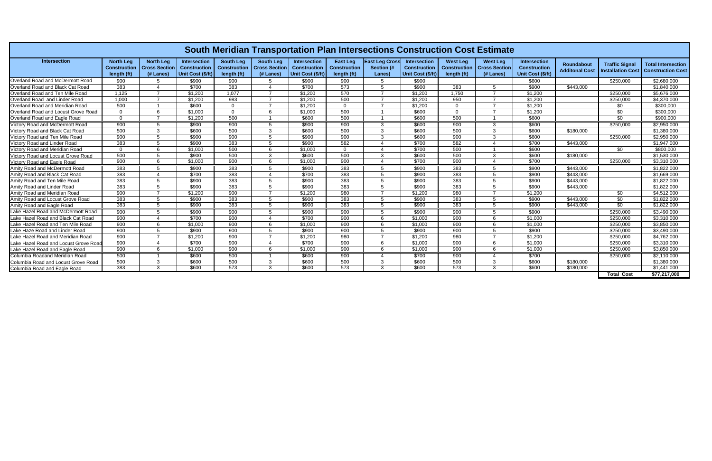| South Meridian Transportation Plan Intersections Construction Cost Estimate |                                                        |                                                       |                                                          |                                                        |                                                         |                                                          |                                                       |                                                      |                                                                 |                                                       |                                                        |                                                                 |                                     |                                           |                                                       |
|-----------------------------------------------------------------------------|--------------------------------------------------------|-------------------------------------------------------|----------------------------------------------------------|--------------------------------------------------------|---------------------------------------------------------|----------------------------------------------------------|-------------------------------------------------------|------------------------------------------------------|-----------------------------------------------------------------|-------------------------------------------------------|--------------------------------------------------------|-----------------------------------------------------------------|-------------------------------------|-------------------------------------------|-------------------------------------------------------|
| <b>Intersection</b>                                                         | <b>North Lea</b><br><b>Construction</b><br>length (ft) | <b>North Leg</b><br><b>Cross Section</b><br>(# Lanes) | Intersection<br><b>Construction</b><br>Unit Cost (\$/ft) | <b>South Leg</b><br><b>Construction</b><br>length (ft) | <b>South Leg</b><br><b>Cross Section</b><br>$(H$ Lanes) | Intersection<br><b>Construction</b><br>Unit Cost (\$/ft) | <b>East Leg</b><br><b>Construction</b><br>length (ft) | <b>East Leg Cross</b><br><b>Section (#</b><br>Lanes) | <b>Intersection</b><br><b>Construction</b><br>Unit Cost (\$/ft) | <b>West Leg</b><br><b>Construction</b><br>length (ft) | <b>West Leg</b><br><b>Cross Section</b><br>$(#$ Lanes) | <b>Intersection</b><br><b>Construction</b><br>Unit Cost (\$/ft) | Roundabout<br><b>Additonal Cost</b> | <b>Traffic Signal</b><br>nstallation Cost | <b>Total Intersection</b><br><b>Construction Cost</b> |
| Overland Road and McDermott Road                                            | 900                                                    |                                                       | \$900                                                    | 900                                                    |                                                         | \$900                                                    | 900                                                   |                                                      | \$900                                                           |                                                       |                                                        | \$600                                                           |                                     | \$250,000                                 | \$2,680,000                                           |
| Overland Road and Black Cat Road                                            | 383                                                    |                                                       | \$700                                                    | 383                                                    |                                                         | \$700                                                    | 573                                                   |                                                      | \$900                                                           | 383                                                   |                                                        | \$900                                                           | \$443,000                           |                                           | \$1,840,000                                           |
| Overland Road and Ten Mile Road                                             | 1,125                                                  |                                                       | \$1.200                                                  | 1,077                                                  |                                                         | \$1,200                                                  | 570                                                   |                                                      | \$1,200                                                         | 1.750                                                 |                                                        | \$1,200                                                         |                                     | \$250,000                                 | \$5,676,000                                           |
| Overland Road and Linder Road                                               | 1.000                                                  |                                                       | \$1.200                                                  | 983                                                    |                                                         | \$1,200                                                  | 500                                                   |                                                      | \$1.200                                                         | 950                                                   |                                                        | \$1,200                                                         |                                     | \$250,000                                 | \$4.370.000                                           |
| Overland Road and Meridian Road                                             | 500                                                    |                                                       | \$600                                                    | $\Omega$                                               |                                                         | \$1,200                                                  | $\Omega$                                              |                                                      | \$1,200                                                         | $\Omega$                                              |                                                        | \$1,200                                                         |                                     | \$0                                       | \$300,000                                             |
| Overland Road and Locust Grove Road                                         | $\overline{0}$                                         | 6                                                     | \$1,000                                                  | $\Omega$                                               |                                                         | \$1,000                                                  | 500                                                   |                                                      | \$600                                                           | $\Omega$                                              |                                                        | \$1,200                                                         |                                     | \$0                                       | \$300,000                                             |
| Overland Road and Eagle Road                                                | $\overline{0}$                                         |                                                       | \$1,200                                                  | 500                                                    |                                                         | \$600                                                    | 500                                                   |                                                      | \$600                                                           | 500                                                   |                                                        | \$600                                                           |                                     | \$0                                       | \$900,000                                             |
| Victory Road and McDermott Road                                             | 900                                                    | -5                                                    | \$900                                                    | 900                                                    |                                                         | \$900                                                    | 900                                                   |                                                      | \$600                                                           | 900                                                   |                                                        | \$600                                                           |                                     | \$250,000                                 | \$2,950,000                                           |
| Victory Road and Black Cat Road                                             | 500                                                    | 3                                                     | \$600                                                    | 500                                                    | ີ                                                       | \$600                                                    | 500                                                   | 3                                                    | \$600                                                           | 500                                                   |                                                        | \$600                                                           | \$180,000                           |                                           | \$1,380,000                                           |
| Victory Road and Ten Mile Road                                              | 900                                                    | .5                                                    | \$900                                                    | 900                                                    |                                                         | \$900                                                    | 900                                                   | 3                                                    | \$600                                                           | 900                                                   | ્વ                                                     | \$600                                                           |                                     | \$250,000                                 | \$2,950,000                                           |
| <b>Victory Road and Linder Road</b>                                         | 383                                                    | 5                                                     | \$900                                                    | 383                                                    |                                                         | \$900                                                    | 582                                                   |                                                      | \$700                                                           | 582                                                   |                                                        | \$700                                                           | \$443,000                           |                                           | \$1,947,000                                           |
| Victory Road and Meridian Road                                              | $\Omega$                                               | 6                                                     | \$1.000                                                  | 500                                                    |                                                         | \$1,000                                                  | $\Omega$                                              |                                                      | \$700                                                           | 500                                                   |                                                        | \$600                                                           |                                     | \$0                                       | \$800,000                                             |
| Victory Road and Locust Grove Road                                          | 500                                                    | 5                                                     | \$900                                                    | 500                                                    | 3                                                       | \$600                                                    | 500                                                   | 3                                                    | \$600                                                           | 500                                                   |                                                        | \$600                                                           | \$180,000                           |                                           | \$1.530.000                                           |
| <b>Victory Road and Eagle Road</b>                                          | 900                                                    | 6                                                     | \$1,000                                                  | 900                                                    |                                                         | \$1,000                                                  | 900                                                   | 4                                                    | \$700                                                           | 900                                                   |                                                        | \$700                                                           |                                     | \$250,000                                 | \$3,310,000                                           |
| Amity Road and McDermott Road                                               | 383                                                    | .5                                                    | \$900                                                    | 383                                                    |                                                         | \$900                                                    | 383                                                   | .5                                                   | \$900                                                           | 383                                                   |                                                        | \$900                                                           | \$443,000                           |                                           | \$1,822,000                                           |
| Amity Road and Black Cat Road                                               | 383                                                    |                                                       | \$700                                                    | 383                                                    |                                                         | \$700                                                    | 383                                                   | 5                                                    | \$900                                                           | 383                                                   |                                                        | \$900                                                           | \$443,000                           |                                           | \$1,669,000                                           |
| Amity Road and Ten Mile Road                                                | 383                                                    | .5                                                    | \$900                                                    | 383                                                    |                                                         | \$900                                                    | 383                                                   | .5                                                   | \$900                                                           | 383                                                   |                                                        | \$900                                                           | \$443,000                           |                                           | \$1,822,000                                           |
| Amity Road and Linder Road                                                  | 383                                                    | 5                                                     | \$900                                                    | 383                                                    | 5                                                       | \$900                                                    | 383                                                   | 5                                                    | \$900                                                           | 383                                                   |                                                        | \$900                                                           | \$443,000                           |                                           | \$1,822,000                                           |
| Amity Road and Meridian Road                                                | 900                                                    |                                                       | \$1.200                                                  | 900                                                    |                                                         | \$1,200                                                  | 980                                                   |                                                      | \$1,200                                                         | 980                                                   |                                                        | \$1,200                                                         |                                     | \$0                                       | \$4,512,000                                           |
| Amity Road and Locust Grove Road                                            | 383                                                    | -5                                                    | \$900                                                    | 383                                                    | 5                                                       | \$900                                                    | 383                                                   | .5                                                   | \$900                                                           | 383                                                   |                                                        | \$900                                                           | \$443,000                           | \$0                                       | \$1.822.000                                           |
| Amity Road and Eagle Road                                                   | 383                                                    | -5                                                    | \$900                                                    | 383                                                    | .5                                                      | \$900                                                    | 383                                                   | .5                                                   | \$900                                                           | 383                                                   | -5                                                     | \$900                                                           | \$443,000                           | $\frac{1}{30}$                            | \$1,822,000                                           |
| Lake Hazel Road and McDermott Road                                          | 900                                                    | -5                                                    | \$900                                                    | 900                                                    | .5                                                      | \$900                                                    | 900                                                   | 5                                                    | \$900                                                           | 900                                                   | -5                                                     | \$900                                                           |                                     | \$250,000                                 | \$3.490.000                                           |
| Lake Hazel Road and Black Cat Road                                          | 900                                                    | $\boldsymbol{\varDelta}$                              | \$700                                                    | 900                                                    | $\boldsymbol{\varLambda}$                               | \$700                                                    | 900                                                   | 6                                                    | \$1.000                                                         | 900                                                   | -6                                                     | \$1,000                                                         |                                     | \$250,000                                 | \$3.310.000                                           |
| Lake Hazel Road and Ten Mile Road                                           | 900                                                    | 6                                                     | \$1,000                                                  | 900                                                    | 6                                                       | \$1,000                                                  | 900                                                   | 6                                                    | \$1,000                                                         | 900                                                   | -6                                                     | \$1,000                                                         |                                     | \$250,000                                 | \$3,850,000                                           |
| Lake Haze Road and Linder Road                                              | 900                                                    | 5                                                     | \$900                                                    | 900                                                    | 5                                                       | \$900                                                    | 900                                                   | 5                                                    | \$900                                                           | 900                                                   |                                                        | \$900                                                           |                                     | \$250,000                                 | \$3,490,000                                           |
| Lake Hazel Road and Meridian Road                                           | 900                                                    |                                                       | \$1,200                                                  | 900                                                    |                                                         | \$1,200                                                  | 980                                                   |                                                      | \$1,200                                                         | 980                                                   |                                                        | \$1,200                                                         |                                     | \$250,000                                 | \$4,762,000                                           |
| Lake Hazel Road and Locust Grove Road                                       | 900                                                    |                                                       | \$700                                                    | 900                                                    |                                                         | \$700                                                    | 900                                                   | 6                                                    | \$1,000                                                         | 900                                                   |                                                        | \$1,000                                                         |                                     | \$250,000                                 | \$3,310,000                                           |
| Lake Hazel Road and Eagle Road                                              | 900                                                    | 6                                                     | \$1,000                                                  | 900                                                    |                                                         | \$1,000                                                  | 900                                                   | 6                                                    | \$1,000                                                         | 900                                                   |                                                        | \$1,000                                                         |                                     | \$250,000                                 | \$3,850,000                                           |
| Columbia Roadand Meridian Road                                              | 500                                                    |                                                       | \$600                                                    | 500                                                    |                                                         | \$600                                                    | 900                                                   |                                                      | \$700                                                           | 900                                                   |                                                        | \$700                                                           |                                     | \$250,000                                 | \$2,110,000                                           |
| Columbia Road and Locust Grove Road                                         | 500                                                    | $\mathcal{R}$                                         | \$600                                                    | 500                                                    | ີ                                                       | \$600                                                    | 500                                                   | 3                                                    | \$600                                                           | 500                                                   |                                                        | \$600                                                           | \$180,000                           |                                           | \$1,380,000                                           |
| Columbia Road and Eagle Road                                                | 383                                                    | 3                                                     | \$600                                                    | 573                                                    |                                                         | \$600                                                    | 573                                                   |                                                      | \$600                                                           | 573                                                   |                                                        | \$600                                                           | \$180,000                           |                                           | \$1,441,000                                           |
|                                                                             |                                                        |                                                       |                                                          |                                                        |                                                         |                                                          |                                                       |                                                      |                                                                 |                                                       |                                                        |                                                                 |                                     | <b>Total Cost</b>                         | \$77,217,000                                          |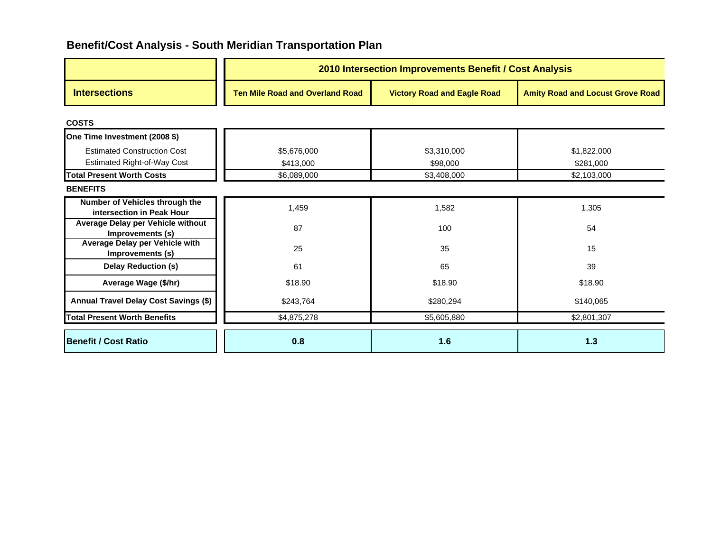|                                                                          | 2010 Intersection Improvements Benefit / Cost Analysis |                                    |                                         |  |  |
|--------------------------------------------------------------------------|--------------------------------------------------------|------------------------------------|-----------------------------------------|--|--|
| <b>Intersections</b>                                                     | <b>Ten Mile Road and Overland Road</b>                 | <b>Victory Road and Eagle Road</b> | <b>Amity Road and Locust Grove Road</b> |  |  |
| <b>COSTS</b>                                                             |                                                        |                                    |                                         |  |  |
| One Time Investment (2008 \$)                                            |                                                        |                                    |                                         |  |  |
| <b>Estimated Construction Cost</b><br><b>Estimated Right-of-Way Cost</b> | \$5,676,000<br>\$413,000                               | \$3,310,000<br>\$98,000            | \$1,822,000<br>\$281,000                |  |  |
| <b>Total Present Worth Costs</b>                                         | \$6,089,000                                            | \$3,408,000                        | \$2,103,000                             |  |  |
| <b>BENEFITS</b>                                                          |                                                        |                                    |                                         |  |  |
| Number of Vehicles through the<br>intersection in Peak Hour              | 1,459                                                  | 1,582                              | 1,305                                   |  |  |
| Average Delay per Vehicle without<br>Improvements (s)                    | 87                                                     | 100                                | 54                                      |  |  |
| Average Delay per Vehicle with<br>Improvements (s)                       | 25                                                     | 35                                 | 15                                      |  |  |
| Delay Reduction (s)                                                      | 61                                                     | 65                                 | 39                                      |  |  |
| Average Wage (\$/hr)                                                     | \$18.90                                                | \$18.90                            | \$18.90                                 |  |  |
| Annual Travel Delay Cost Savings (\$)                                    | \$243,764                                              | \$280,294                          | \$140,065                               |  |  |
| <b>Total Present Worth Benefits</b>                                      | \$4,875,278                                            | \$5,605,880                        | \$2,801,307                             |  |  |
| <b>Benefit / Cost Ratio</b>                                              | 0.8                                                    | 1.6                                | 1.3                                     |  |  |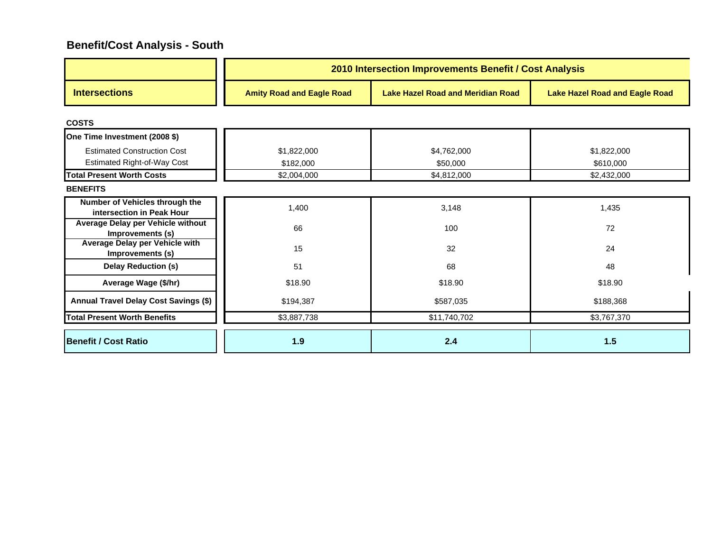|                                                                        | 2010 Intersection Improvements Benefit / Cost Analysis |                                          |                                       |  |  |  |
|------------------------------------------------------------------------|--------------------------------------------------------|------------------------------------------|---------------------------------------|--|--|--|
| <b>Intersections</b>                                                   | <b>Amity Road and Eagle Road</b>                       | <b>Lake Hazel Road and Meridian Road</b> | <b>Lake Hazel Road and Eagle Road</b> |  |  |  |
| <b>COSTS</b>                                                           |                                                        |                                          |                                       |  |  |  |
| One Time Investment (2008 \$)                                          |                                                        |                                          |                                       |  |  |  |
| <b>Estimated Construction Cost</b>                                     | \$1,822,000                                            | \$4,762,000                              | \$1,822,000                           |  |  |  |
| <b>Estimated Right-of-Way Cost</b><br><b>Total Present Worth Costs</b> | \$182,000<br>\$2,004,000                               | \$50,000<br>\$4,812,000                  | \$610,000<br>\$2,432,000              |  |  |  |
| <b>BENEFITS</b>                                                        |                                                        |                                          |                                       |  |  |  |
| Number of Vehicles through the<br>intersection in Peak Hour            | 1,400                                                  | 3,148                                    | 1,435                                 |  |  |  |
| Average Delay per Vehicle without<br>Improvements (s)                  | 66                                                     | 100                                      | 72                                    |  |  |  |
| Average Delay per Vehicle with<br>Improvements (s)                     | 15                                                     | 32                                       | 24                                    |  |  |  |
| <b>Delay Reduction (s)</b>                                             | 51                                                     | 68                                       | 48                                    |  |  |  |
| Average Wage (\$/hr)                                                   | \$18.90                                                | \$18.90                                  | \$18.90                               |  |  |  |
| Annual Travel Delay Cost Savings (\$)                                  | \$194,387                                              | \$587,035                                | \$188,368                             |  |  |  |
| <b>Total Present Worth Benefits</b>                                    | \$3,887,738                                            | \$11,740,702                             | \$3,767,370                           |  |  |  |
| <b>Benefit / Cost Ratio</b>                                            | 1.9                                                    | 2.4                                      | $1.5$                                 |  |  |  |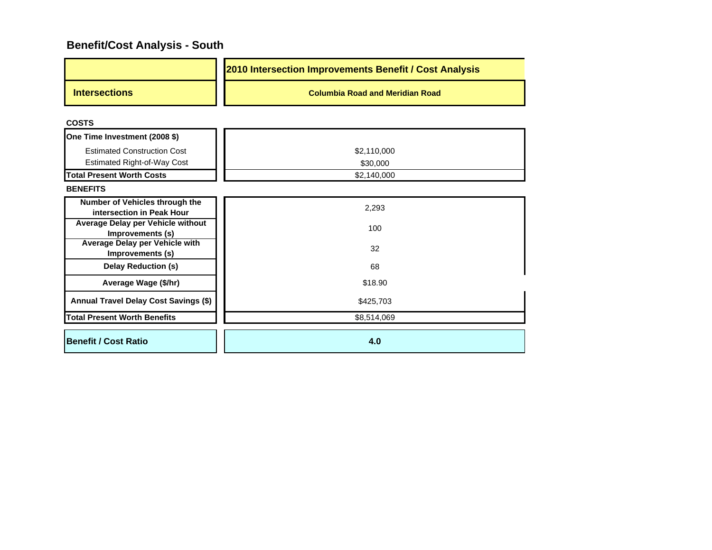|                      | 2010 Intersection Improvements Benefit / Cost Analysis |
|----------------------|--------------------------------------------------------|
| <b>Intersections</b> | <b>Columbia Road and Meridian Road</b>                 |

**COSTS**

| One Time Investment (2008 \$)                               |             |  |  |
|-------------------------------------------------------------|-------------|--|--|
| <b>Estimated Construction Cost</b>                          | \$2,110,000 |  |  |
| Estimated Right-of-Way Cost                                 | \$30,000    |  |  |
| <b>Total Present Worth Costs</b>                            | \$2,140,000 |  |  |
| <b>BENEFITS</b>                                             |             |  |  |
| Number of Vehicles through the<br>intersection in Peak Hour | 2,293       |  |  |
| Average Delay per Vehicle without<br>Improvements (s)       | 100         |  |  |
| Average Delay per Vehicle with<br>Improvements (s)          | 32          |  |  |
| <b>Delay Reduction (s)</b>                                  | 68          |  |  |
| Average Wage (\$/hr)                                        | \$18.90     |  |  |
| Annual Travel Delay Cost Savings (\$)                       | \$425,703   |  |  |
| <b>Total Present Worth Benefits</b>                         | \$8,514,069 |  |  |
| <b>Benefit / Cost Ratio</b>                                 | 4.0         |  |  |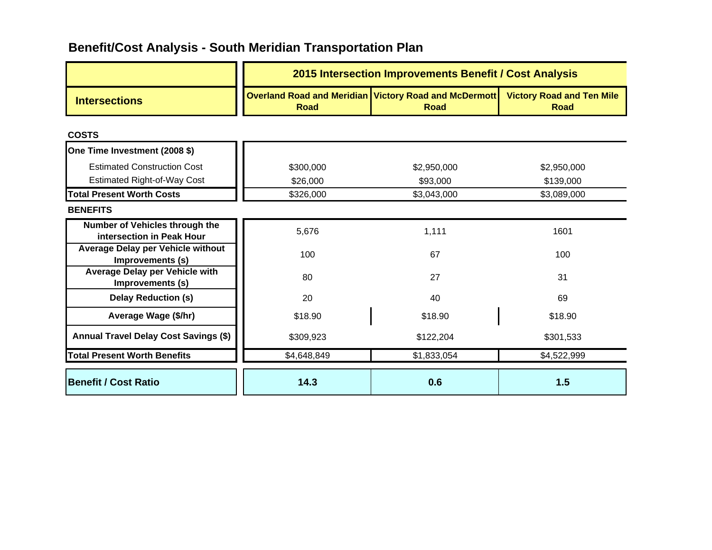|                                                             | 2015 Intersection Improvements Benefit / Cost Analysis |                                                                        |                                                 |  |  |
|-------------------------------------------------------------|--------------------------------------------------------|------------------------------------------------------------------------|-------------------------------------------------|--|--|
| <b>Intersections</b>                                        | <b>Road</b>                                            | Overland Road and Meridian   Victory Road and McDermott<br><b>Road</b> | <b>Victory Road and Ten Mile</b><br><b>Road</b> |  |  |
| <b>COSTS</b>                                                |                                                        |                                                                        |                                                 |  |  |
| One Time Investment (2008 \$)                               |                                                        |                                                                        |                                                 |  |  |
| <b>Estimated Construction Cost</b>                          | \$300,000                                              | \$2,950,000                                                            | \$2,950,000                                     |  |  |
| <b>Estimated Right-of-Way Cost</b>                          | \$26,000                                               | \$93,000                                                               | \$139,000                                       |  |  |
| <b>Total Present Worth Costs</b>                            | \$326,000                                              | \$3,043,000                                                            | \$3,089,000                                     |  |  |
| <b>BENEFITS</b>                                             |                                                        |                                                                        |                                                 |  |  |
| Number of Vehicles through the<br>intersection in Peak Hour | 5,676                                                  | 1,111                                                                  | 1601                                            |  |  |
| Average Delay per Vehicle without<br>Improvements (s)       | 100                                                    | 67                                                                     | 100                                             |  |  |
| <b>Average Delay per Vehicle with</b><br>Improvements (s)   | 80                                                     | 27                                                                     |                                                 |  |  |
| <b>Delay Reduction (s)</b>                                  | 20                                                     | 40                                                                     | 69                                              |  |  |
| Average Wage (\$/hr)                                        | \$18.90                                                | \$18.90                                                                | \$18.90                                         |  |  |
| <b>Annual Travel Delay Cost Savings (\$)</b>                | \$309,923                                              | \$122,204                                                              | \$301,533                                       |  |  |
| <b>Total Present Worth Benefits</b>                         | \$4,648,849                                            | \$1,833,054                                                            | \$4,522,999                                     |  |  |
| <b>Benefit / Cost Ratio</b>                                 | 14.3                                                   | 0.6                                                                    | 1.5                                             |  |  |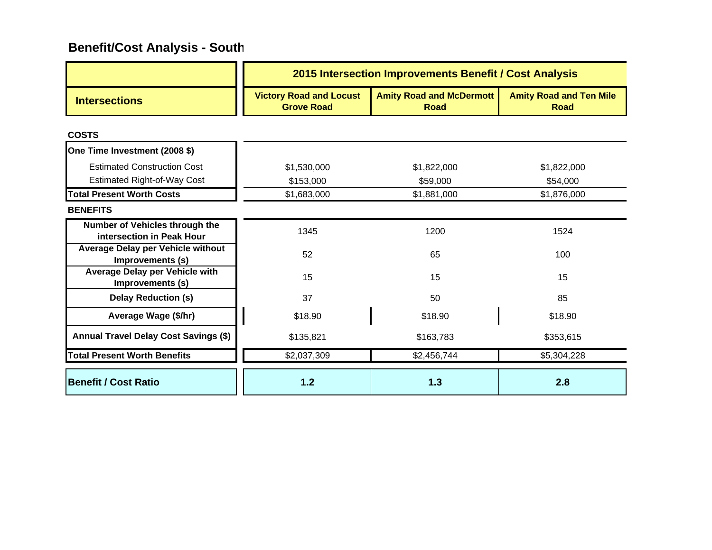|                                                                          | 2015 Intersection Improvements Benefit / Cost Analysis |                                                |                                               |  |  |
|--------------------------------------------------------------------------|--------------------------------------------------------|------------------------------------------------|-----------------------------------------------|--|--|
| <b>Intersections</b>                                                     | <b>Victory Road and Locust</b><br><b>Grove Road</b>    | <b>Amity Road and McDermott</b><br><b>Road</b> | <b>Amity Road and Ten Mile</b><br><b>Road</b> |  |  |
| <b>COSTS</b>                                                             |                                                        |                                                |                                               |  |  |
| One Time Investment (2008 \$)                                            |                                                        |                                                |                                               |  |  |
| <b>Estimated Construction Cost</b><br><b>Estimated Right-of-Way Cost</b> | \$1,530,000<br>\$153,000                               | \$1,822,000<br>\$59,000                        | \$1,822,000<br>\$54,000                       |  |  |
| <b>Total Present Worth Costs</b>                                         | \$1,683,000                                            | \$1,881,000                                    | \$1,876,000                                   |  |  |
| <b>BENEFITS</b>                                                          |                                                        |                                                |                                               |  |  |
| Number of Vehicles through the<br>intersection in Peak Hour              | 1345                                                   | 1200                                           | 1524                                          |  |  |
| Average Delay per Vehicle without<br>Improvements (s)                    | 52                                                     | 65                                             | 100                                           |  |  |
| Average Delay per Vehicle with<br>Improvements (s)                       | 15                                                     | 15                                             | 15                                            |  |  |
| <b>Delay Reduction (s)</b>                                               | 37                                                     | 50                                             | 85                                            |  |  |
| Average Wage (\$/hr)                                                     | \$18.90                                                | \$18.90                                        | \$18.90                                       |  |  |
| Annual Travel Delay Cost Savings (\$)                                    | \$135,821                                              | \$163,783                                      | \$353,615                                     |  |  |
| <b>Total Present Worth Benefits</b>                                      | \$2,037,309                                            | \$2,456,744                                    | \$5,304,228                                   |  |  |
| <b>Benefit / Cost Ratio</b>                                              | 1.2                                                    | 1.3                                            | 2.8                                           |  |  |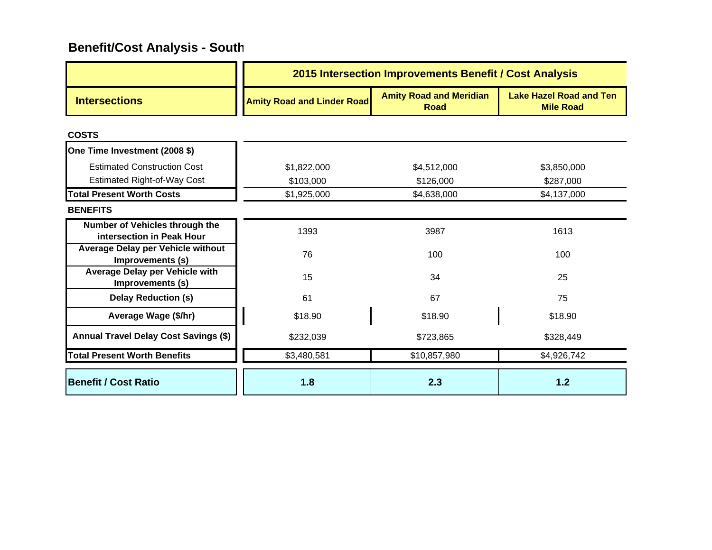|                                                             | 2015 Intersection Improvements Benefit / Cost Analysis |                                               |                                                    |  |  |
|-------------------------------------------------------------|--------------------------------------------------------|-----------------------------------------------|----------------------------------------------------|--|--|
| <b>Intersections</b>                                        | <b>Amity Road and Linder Road</b>                      | <b>Amity Road and Meridian</b><br><b>Road</b> | <b>Lake Hazel Road and Ten</b><br><b>Mile Road</b> |  |  |
| <b>COSTS</b>                                                |                                                        |                                               |                                                    |  |  |
| One Time Investment (2008 \$)                               |                                                        |                                               |                                                    |  |  |
| <b>Estimated Construction Cost</b>                          | \$1,822,000                                            | \$4,512,000                                   | \$3,850,000                                        |  |  |
| <b>Estimated Right-of-Way Cost</b>                          | \$103,000                                              | \$126,000                                     | \$287,000                                          |  |  |
| <b>Total Present Worth Costs</b>                            | \$1,925,000                                            | \$4,638,000                                   | \$4,137,000                                        |  |  |
| <b>BENEFITS</b>                                             |                                                        |                                               |                                                    |  |  |
| Number of Vehicles through the<br>intersection in Peak Hour | 1393                                                   | 3987                                          | 1613                                               |  |  |
| Average Delay per Vehicle without<br>Improvements (s)       | 76                                                     | 100                                           | 100                                                |  |  |
| <b>Average Delay per Vehicle with</b><br>Improvements (s)   | 15                                                     | 34                                            | 25                                                 |  |  |
| <b>Delay Reduction (s)</b>                                  | 61                                                     | 67                                            | 75                                                 |  |  |
| Average Wage (\$/hr)                                        | \$18.90                                                | \$18.90                                       | \$18.90                                            |  |  |
| Annual Travel Delay Cost Savings (\$)                       | \$232,039                                              | \$723,865                                     | \$328,449                                          |  |  |
| <b>Total Present Worth Benefits</b>                         | \$3,480,581                                            | \$10,857,980                                  | \$4,926,742                                        |  |  |
| <b>Benefit / Cost Ratio</b>                                 | 1.8                                                    | 2.3                                           | $1.2$                                              |  |  |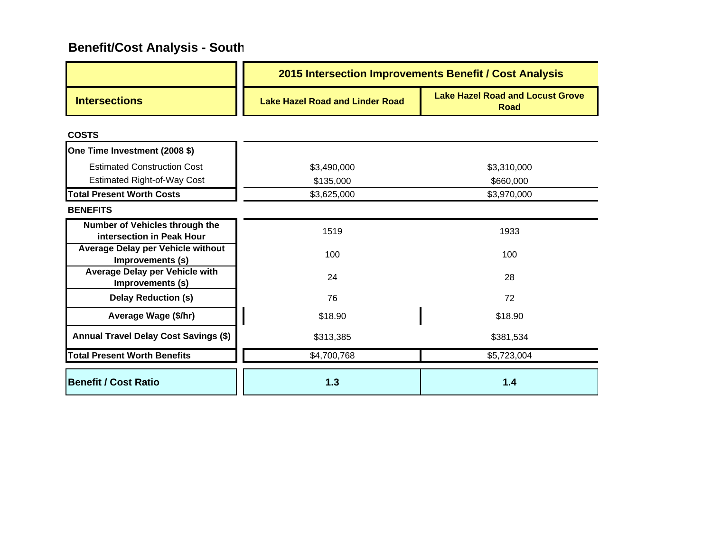|                                                             | 2015 Intersection Improvements Benefit / Cost Analysis |                                                        |  |  |  |
|-------------------------------------------------------------|--------------------------------------------------------|--------------------------------------------------------|--|--|--|
| <b>Intersections</b>                                        | <b>Lake Hazel Road and Linder Road</b>                 | <b>Lake Hazel Road and Locust Grove</b><br><b>Road</b> |  |  |  |
| <b>COSTS</b>                                                |                                                        |                                                        |  |  |  |
| One Time Investment (2008 \$)                               |                                                        |                                                        |  |  |  |
| <b>Estimated Construction Cost</b>                          | \$3,490,000                                            | \$3,310,000                                            |  |  |  |
| <b>Estimated Right-of-Way Cost</b>                          | \$135,000                                              | \$660,000                                              |  |  |  |
| <b>Total Present Worth Costs</b>                            | \$3,625,000                                            | \$3,970,000                                            |  |  |  |
| <b>BENEFITS</b>                                             |                                                        |                                                        |  |  |  |
| Number of Vehicles through the<br>intersection in Peak Hour | 1519                                                   | 1933                                                   |  |  |  |
| Average Delay per Vehicle without<br>Improvements (s)       | 100                                                    | 100                                                    |  |  |  |
| <b>Average Delay per Vehicle with</b><br>Improvements (s)   | 24                                                     | 28                                                     |  |  |  |
| <b>Delay Reduction (s)</b>                                  | 76                                                     | 72                                                     |  |  |  |
| Average Wage (\$/hr)                                        | \$18.90                                                | \$18.90                                                |  |  |  |
| <b>Annual Travel Delay Cost Savings (\$)</b>                | \$313,385                                              | \$381,534                                              |  |  |  |
| <b>Total Present Worth Benefits</b>                         | \$4,700,768                                            | \$5,723,004                                            |  |  |  |
| Benefit / Cost Ratio                                        | 1.3                                                    | 1.4                                                    |  |  |  |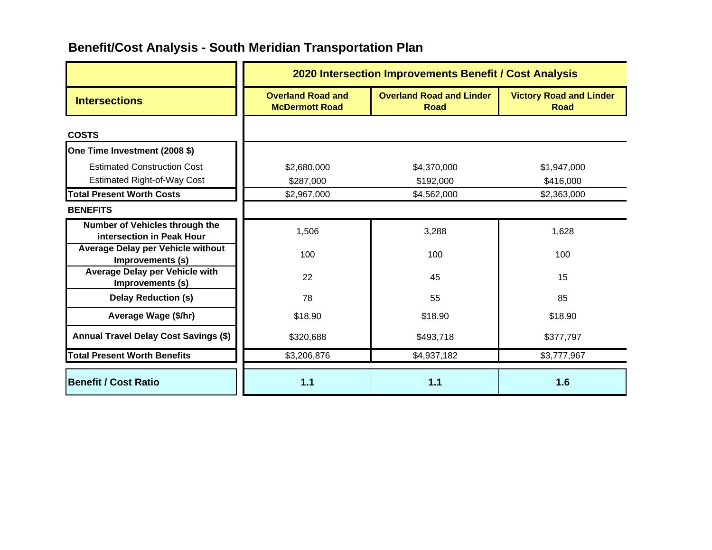|                                                                          | 2020 Intersection Improvements Benefit / Cost Analysis |                                                |                                               |
|--------------------------------------------------------------------------|--------------------------------------------------------|------------------------------------------------|-----------------------------------------------|
| <b>Intersections</b>                                                     | <b>Overland Road and</b><br><b>McDermott Road</b>      | <b>Overland Road and Linder</b><br><b>Road</b> | <b>Victory Road and Linder</b><br><b>Road</b> |
| <b>COSTS</b>                                                             |                                                        |                                                |                                               |
| One Time Investment (2008 \$)                                            |                                                        |                                                |                                               |
| <b>Estimated Construction Cost</b><br><b>Estimated Right-of-Way Cost</b> | \$2,680,000<br>\$287,000                               | \$4,370,000<br>\$192,000                       | \$1,947,000<br>\$416,000                      |
| <b>Total Present Worth Costs</b>                                         | \$2,967,000                                            | \$4,562,000                                    | \$2,363,000                                   |
| <b>BENEFITS</b>                                                          |                                                        |                                                |                                               |
| Number of Vehicles through the<br>intersection in Peak Hour              | 1,506                                                  | 3,288                                          | 1,628                                         |
| Average Delay per Vehicle without<br>Improvements (s)                    | 100                                                    | 100                                            | 100                                           |
| <b>Average Delay per Vehicle with</b><br>Improvements (s)                | 22                                                     | 45                                             | 15                                            |
| <b>Delay Reduction (s)</b>                                               | 78                                                     | 55                                             | 85                                            |
| Average Wage (\$/hr)                                                     | \$18.90                                                | \$18.90                                        | \$18.90                                       |
| Annual Travel Delay Cost Savings (\$)                                    | \$320,688                                              | \$493,718                                      | \$377,797                                     |
| <b>Total Present Worth Benefits</b>                                      | \$3,206,876                                            | \$4,937,182                                    | \$3,777,967                                   |
| <b>Benefit / Cost Ratio</b>                                              | $1.1$                                                  | 1.1                                            | 1.6                                           |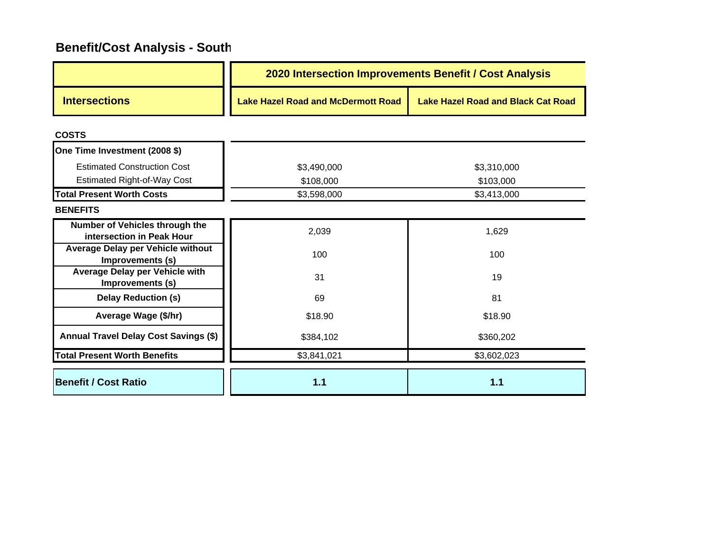|                                                             | 2020 Intersection Improvements Benefit / Cost Analysis |                                           |  |
|-------------------------------------------------------------|--------------------------------------------------------|-------------------------------------------|--|
| <b>Intersections</b>                                        | <b>Lake Hazel Road and McDermott Road</b>              | <b>Lake Hazel Road and Black Cat Road</b> |  |
| <b>COSTS</b>                                                |                                                        |                                           |  |
| One Time Investment (2008 \$)                               |                                                        |                                           |  |
| <b>Estimated Construction Cost</b>                          | \$3,490,000                                            | \$3,310,000                               |  |
| <b>Estimated Right-of-Way Cost</b>                          | \$108,000                                              | \$103,000                                 |  |
| <b>Total Present Worth Costs</b>                            | \$3,598,000                                            | \$3,413,000                               |  |
| <b>BENEFITS</b>                                             |                                                        |                                           |  |
| Number of Vehicles through the<br>intersection in Peak Hour | 2,039                                                  | 1,629                                     |  |
| Average Delay per Vehicle without<br>Improvements (s)       | 100                                                    | 100                                       |  |
| Average Delay per Vehicle with<br>Improvements (s)          | 31                                                     | 19                                        |  |
| <b>Delay Reduction (s)</b>                                  | 69                                                     | 81                                        |  |
| Average Wage (\$/hr)                                        | \$18.90                                                | \$18.90                                   |  |
| <b>Annual Travel Delay Cost Savings (\$)</b>                | \$384,102                                              | \$360,202                                 |  |
| <b>Total Present Worth Benefits</b>                         | \$3,841,021                                            | \$3,602,023                               |  |
| <b>Benefit / Cost Ratio</b>                                 | 1.1                                                    | 1.1                                       |  |